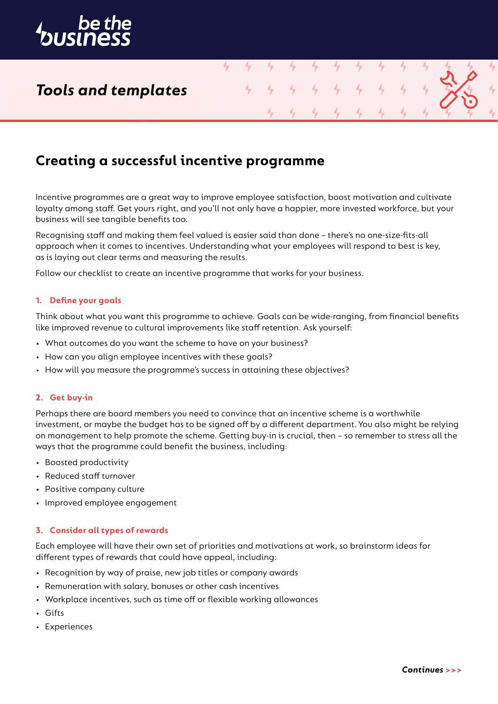

## *Tools and templates*

## **Creating a successful incentive programme**

Incentive programmes are a great way to improve employee satisfaction, boost motivation and cultivate loyalty among staff. Get yours right, and you'll not only have a happier, more invested workforce, but your business will see tangible benefits too.

4

4

4

4

Recognising staff and making them feel valued is easier said than done – there's no one-size-fits-all approach when it comes to incentives. Understanding what your employees will respond to best is key, as is laying out clear terms and measuring the results.

Follow our checklist to create an incentive programme that works for your business.

### **1. Define your goals**

Think about what you want this programme to achieve. Goals can be wide-ranging, from financial benefits like improved revenue to cultural improvements like staff retention. Ask yourself:

- What outcomes do you want the scheme to have on your business?
- How can you align employee incentives with these goals?
- How will you measure the programme's success in attaining these objectives?

### **2. Get buy-in**

Perhaps there are board members you need to convince that an incentive scheme is a worthwhile investment, or maybe the budget has to be signed off by a different department. You also might be relying on management to help promote the scheme. Getting buy-in is crucial, then – so remember to stress all the ways that the programme could benefit the business, including:

- Boosted productivity
- Reduced staff turnover
- Positive company culture
- Improved employee engagement

### **3. Consider all types of rewards**

Each employee will have their own set of priorities and motivations at work, so brainstorm ideas for different types of rewards that could have appeal, including:

- Recognition by way of praise, new job titles or company awards
- Remuneration with salary, bonuses or other cash incentives
- Workplace incentives, such as time off or flexible working allowances
- Gifts
- Experiences